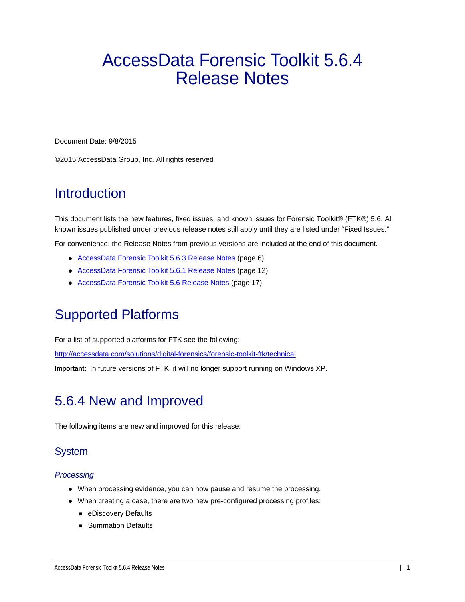# AccessData Forensic Toolkit 5.6.4 Release Notes

Document Date: 9/8/2015

©2015 AccessData Group, Inc. All rights reserved

## **Introduction**

This document lists the new features, fixed issues, and known issues for Forensic Toolkit® (FTK®) 5.6. All known issues published under previous release notes still apply until they are listed under "Fixed Issues."

For convenience, the Release Notes from previous versions are included at the end of this document.

- [AccessData Forensic Toolkit 5.6.3 Release Notes \(page 6\)](#page-5-0)
- [AccessData Forensic Toolkit 5.6.1 Release Notes \(page 12\)](#page-11-0)
- [AccessData Forensic Toolkit 5.6 Release Notes \(page 17\)](#page-16-0)

## Supported Platforms

For a list of supported platforms for FTK see the following:

<http://accessdata.com/solutions/digital-forensics/forensic-toolkit-ftk/technical>

**Important:** In future versions of FTK, it will no longer support running on Windows XP.

# 5.6.4 New and Improved

The following items are new and improved for this release:

## **System**

## *Processing*

- When processing evidence, you can now pause and resume the processing.
- When creating a case, there are two new pre-configured processing profiles:
	- **E** eDiscovery Defaults
	- **Summation Defaults**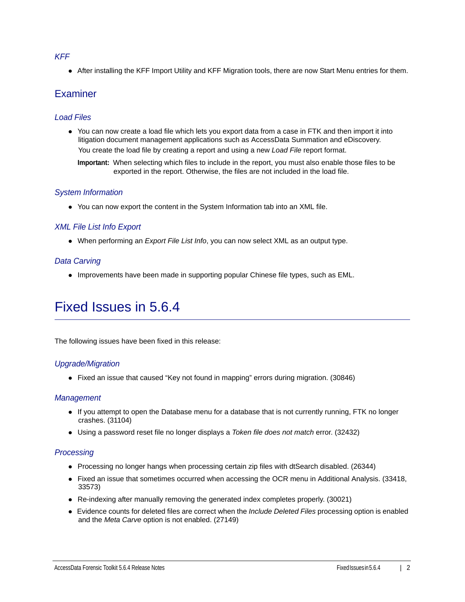### *KFF*

After installing the KFF Import Utility and KFF Migration tools, there are now Start Menu entries for them.

## **Examiner**

## *Load Files*

You can now create a load file which lets you export data from a case in FTK and then import it into litigation document management applications such as AccessData Summation and eDiscovery.

You create the load file by creating a report and using a new *Load File* report format.

**Important:** When selecting which files to include in the report, you must also enable those files to be exported in the report. Otherwise, the files are not included in the load file.

## *System Information*

• You can now export the content in the System Information tab into an XML file.

## *XML File List Info Export*

When performing an *Export File List Info*, you can now select XML as an output type.

## *Data Carving*

Improvements have been made in supporting popular Chinese file types, such as EML.

# Fixed Issues in 5.6.4

The following issues have been fixed in this release:

## *Upgrade/Migration*

Fixed an issue that caused "Key not found in mapping" errors during migration. (30846)

## *Management*

- If you attempt to open the Database menu for a database that is not currently running, FTK no longer crashes. (31104)
- Using a password reset file no longer displays a *Token file does not match* error. (32432)

## *Processing*

- Processing no longer hangs when processing certain zip files with dtSearch disabled. (26344)
- Fixed an issue that sometimes occurred when accessing the OCR menu in Additional Analysis. (33418, 33573)
- Re-indexing after manually removing the generated index completes properly. (30021)
- Evidence counts for deleted files are correct when the *Include Deleted Files* processing option is enabled and the *Meta Carve* option is not enabled. (27149)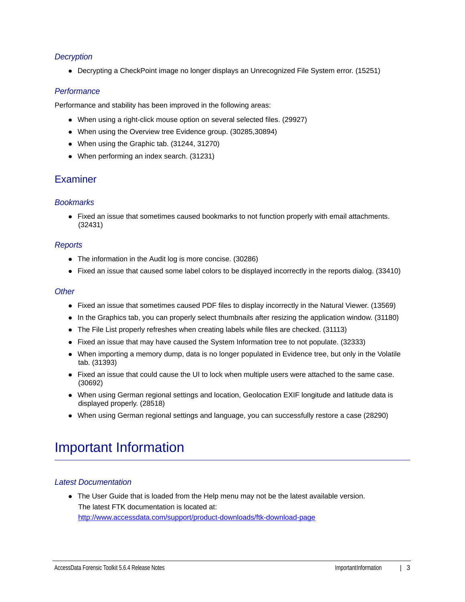## *Decryption*

Decrypting a CheckPoint image no longer displays an Unrecognized File System error. (15251)

## *Performance*

Performance and stability has been improved in the following areas:

- When using a right-click mouse option on several selected files. (29927)
- When using the Overview tree Evidence group. (30285,30894)
- When using the Graphic tab. (31244, 31270)
- When performing an index search. (31231)

## Examiner

## *Bookmarks*

• Fixed an issue that sometimes caused bookmarks to not function properly with email attachments. (32431)

### *Reports*

- The information in the Audit log is more concise. (30286)
- Fixed an issue that caused some label colors to be displayed incorrectly in the reports dialog. (33410)

### *Other*

- Fixed an issue that sometimes caused PDF files to display incorrectly in the Natural Viewer. (13569)
- In the Graphics tab, you can properly select thumbnails after resizing the application window. (31180)
- The File List properly refreshes when creating labels while files are checked. (31113)
- Fixed an issue that may have caused the System Information tree to not populate. (32333)
- When importing a memory dump, data is no longer populated in Evidence tree, but only in the Volatile tab. (31393)
- Fixed an issue that could cause the UI to lock when multiple users were attached to the same case. (30692)
- When using German regional settings and location, Geolocation EXIF longitude and latitude data is displayed properly. (28518)
- When using German regional settings and language, you can successfully restore a case (28290)

## Important Information

### *Latest Documentation*

The User Guide that is loaded from the Help menu may not be the latest available version. The latest FTK documentation is located at: http://www.accessdata.com/support/product-downloads/ftk-download-page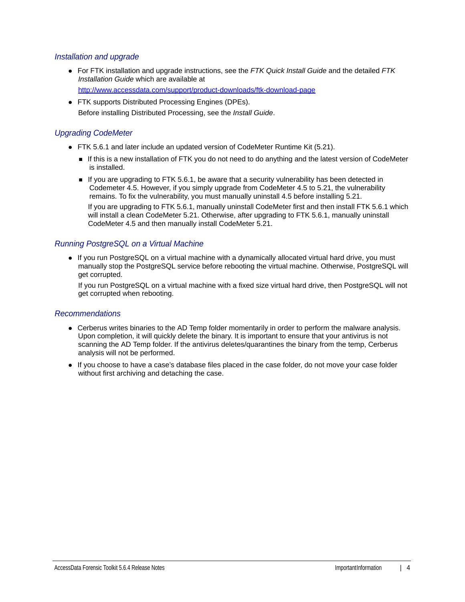## *Installation and upgrade*

- For FTK installation and upgrade instructions, see the *FTK Quick Install Guide* and the detailed *FTK Installation Guide* which are available at http://www.accessdata.com/support/product-downloads/ftk-download-page
- FTK supports Distributed Processing Engines (DPEs). Before installing Distributed Processing, see the *Install Guide*.

## *Upgrading CodeMeter*

- FTK 5.6.1 and later include an updated version of CodeMeter Runtime Kit (5.21).
	- If this is a new installation of FTK you do not need to do anything and the latest version of CodeMeter is installed.
	- If you are upgrading to FTK 5.6.1, be aware that a security vulnerability has been detected in Codemeter 4.5. However, if you simply upgrade from CodeMeter 4.5 to 5.21, the vulnerability remains. To fix the vulnerability, you must manually uninstall 4.5 before installing 5.21.

If you are upgrading to FTK 5.6.1, manually uninstall CodeMeter first and then install FTK 5.6.1 which will install a clean CodeMeter 5.21. Otherwise, after upgrading to FTK 5.6.1, manually uninstall CodeMeter 4.5 and then manually install CodeMeter 5.21.

## *Running PostgreSQL on a Virtual Machine*

• If you run PostgreSQL on a virtual machine with a dynamically allocated virtual hard drive, you must manually stop the PostgreSQL service before rebooting the virtual machine. Otherwise, PostgreSQL will get corrupted.

If you run PostgreSQL on a virtual machine with a fixed size virtual hard drive, then PostgreSQL will not get corrupted when rebooting.

## *Recommendations*

- Cerberus writes binaries to the AD Temp folder momentarily in order to perform the malware analysis. Upon completion, it will quickly delete the binary. It is important to ensure that your antivirus is not scanning the AD Temp folder. If the antivirus deletes/quarantines the binary from the temp, Cerberus analysis will not be performed.
- If you choose to have a case's database files placed in the case folder, do not move your case folder without first archiving and detaching the case.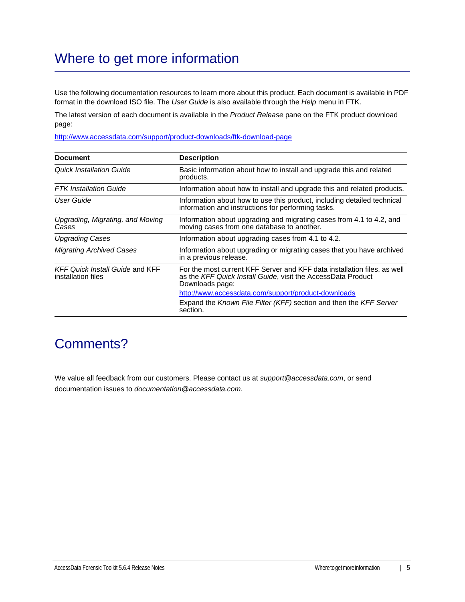# Where to get more information

Use the following documentation resources to learn more about this product. Each document is available in PDF format in the download ISO file. The *User Guide* is also available through the *Help* menu in FTK.

The latest version of each document is available in the *Product Release* pane on the FTK product download page:

http://www.accessdata.com/support/product-downloads/ftk-download-page

| <b>Document</b>                                              | <b>Description</b>                                                                                                                                          |
|--------------------------------------------------------------|-------------------------------------------------------------------------------------------------------------------------------------------------------------|
| <b>Quick Installation Guide</b>                              | Basic information about how to install and upgrade this and related<br>products.                                                                            |
| <b>FTK</b> Installation Guide                                | Information about how to install and upgrade this and related products.                                                                                     |
| User Guide                                                   | Information about how to use this product, including detailed technical<br>information and instructions for performing tasks.                               |
| Upgrading, Migrating, and Moving<br>Cases                    | Information about upgrading and migrating cases from 4.1 to 4.2, and<br>moving cases from one database to another.                                          |
| <b>Upgrading Cases</b>                                       | Information about upgrading cases from 4.1 to 4.2.                                                                                                          |
| <b>Migrating Archived Cases</b>                              | Information about upgrading or migrating cases that you have archived<br>in a previous release.                                                             |
| <b>KFF Quick Install Guide and KFF</b><br>installation files | For the most current KFF Server and KFF data installation files, as well<br>as the KFF Quick Install Guide, visit the AccessData Product<br>Downloads page: |
|                                                              | http://www.accessdata.com/support/product-downloads                                                                                                         |
|                                                              | Expand the Known File Filter (KFF) section and then the KFF Server<br>section.                                                                              |

## Comments?

We value all feedback from our customers. Please contact us at *support@accessdata.com*, or send documentation issues to *documentation@accessdata.com*.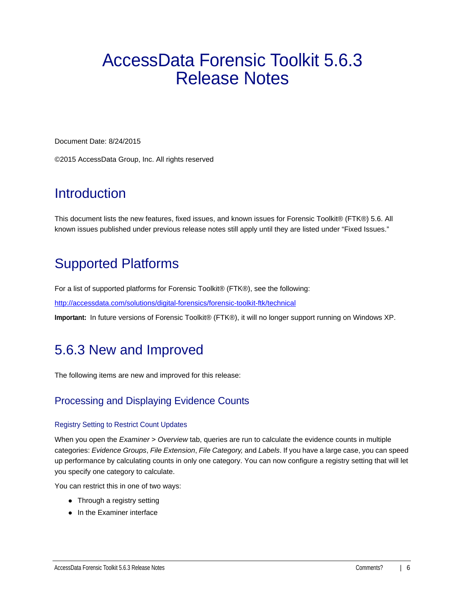# <span id="page-5-0"></span>AccessData Forensic Toolkit 5.6.3 Release Notes

Document Date: 8/24/2015

©2015 AccessData Group, Inc. All rights reserved

# **Introduction**

This document lists the new features, fixed issues, and known issues for Forensic Toolkit® (FTK®) 5.6. All known issues published under previous release notes still apply until they are listed under "Fixed Issues."

# Supported Platforms

For a list of supported platforms for Forensic Toolkit® (FTK®), see the following:

<http://accessdata.com/solutions/digital-forensics/forensic-toolkit-ftk/technical>

**Important:** In future versions of Forensic Toolkit® (FTK®), it will no longer support running on Windows XP.

# 5.6.3 New and Improved

The following items are new and improved for this release:

## Processing and Displaying Evidence Counts

### Registry Setting to Restrict Count Updates

When you open the *Examiner* > *Overview* tab, queries are run to calculate the evidence counts in multiple categories: *Evidence Groups*, *File Extension*, *File Category,* and *Labels*. If you have a large case, you can speed up performance by calculating counts in only one category. You can now configure a registry setting that will let you specify one category to calculate.

You can restrict this in one of two ways:

- Through a registry setting
- In the Examiner interface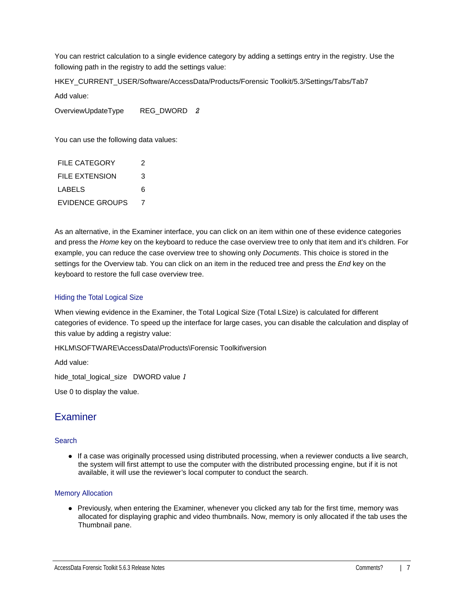You can restrict calculation to a single evidence category by adding a settings entry in the registry. Use the following path in the registry to add the settings value:

HKEY\_CURRENT\_USER/Software/AccessData/Products/Forensic Toolkit/5.3/Settings/Tabs/Tab7

Add value:

OverviewUpdateType REG\_DWORD *2*

You can use the following data values:

| FILE CATEGORY   | 2 |
|-----------------|---|
| FILE EXTENSION  | 3 |
| LABELS          | 6 |
| EVIDENCE GROUPS | 7 |

As an alternative, in the Examiner interface, you can click on an item within one of these evidence categories and press the *Home* key on the keyboard to reduce the case overview tree to only that item and it's children. For example, you can reduce the case overview tree to showing only *Documents*. This choice is stored in the settings for the Overview tab. You can click on an item in the reduced tree and press the *End* key on the keyboard to restore the full case overview tree.

## Hiding the Total Logical Size

When viewing evidence in the Examiner, the Total Logical Size (Total LSize) is calculated for different categories of evidence. To speed up the interface for large cases, you can disable the calculation and display of this value by adding a registry value:

HKLM\SOFTWARE\AccessData\Products\Forensic Toolkit\version

Add value:

hide\_total\_logical\_size DWORD value *1*

Use 0 to display the value.

## **Examiner**

### Search

If a case was originally processed using distributed processing, when a reviewer conducts a live search, the system will first attempt to use the computer with the distributed processing engine, but if it is not available, it will use the reviewer's local computer to conduct the search.

### Memory Allocation

• Previously, when entering the Examiner, whenever you clicked any tab for the first time, memory was allocated for displaying graphic and video thumbnails. Now, memory is only allocated if the tab uses the Thumbnail pane.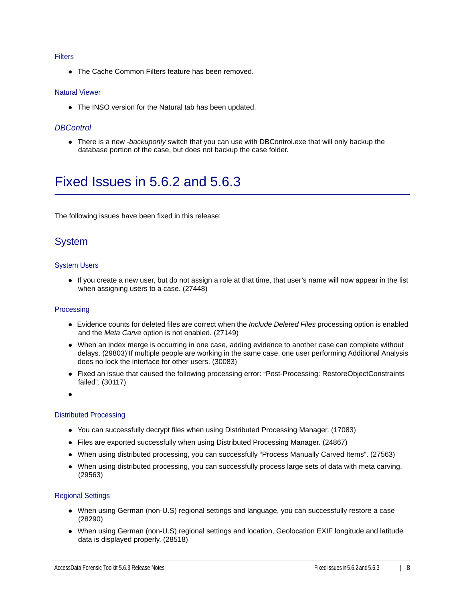#### **Filters**

• The Cache Common Filters feature has been removed.

#### Natural Viewer

• The INSO version for the Natural tab has been updated.

### *DBControl*

There is a new *-backuponly* switch that you can use with DBControl.exe that will only backup the database portion of the case, but does not backup the case folder.

# Fixed Issues in 5.6.2 and 5.6.3

The following issues have been fixed in this release:

## System

### System Users

If you create a new user, but do not assign a role at that time, that user's name will now appear in the list when assigning users to a case. (27448)

### Processing

- Evidence counts for deleted files are correct when the *Include Deleted Files* processing option is enabled and the *Meta Carve* option is not enabled. (27149)
- When an index merge is occurring in one case, adding evidence to another case can complete without delays. (29803)'If multiple people are working in the same case, one user performing Additional Analysis does no lock the interface for other users. (30083)
- Fixed an issue that caused the following processing error: "Post-Processing: RestoreObjectConstraints failed". (30117)

 $\bullet$ 

#### Distributed Processing

- You can successfully decrypt files when using Distributed Processing Manager. (17083)
- Files are exported successfully when using Distributed Processing Manager. (24867)
- When using distributed processing, you can successfully "Process Manually Carved Items". (27563)
- When using distributed processing, you can successfully process large sets of data with meta carving. (29563)

### Regional Settings

- When using German (non-U.S) regional settings and language, you can successfully restore a case (28290)
- When using German (non-U.S) regional settings and location, Geolocation EXIF longitude and latitude data is displayed properly. (28518)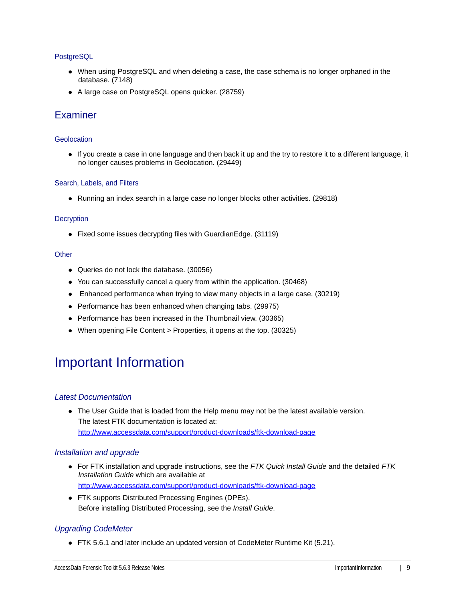## **PostgreSQL**

- When using PostgreSQL and when deleting a case, the case schema is no longer orphaned in the database. (7148)
- A large case on PostgreSQL opens quicker. (28759)

## Examiner

### **Geolocation**

If you create a case in one language and then back it up and the try to restore it to a different language, it no longer causes problems in Geolocation. (29449)

#### Search, Labels, and Filters

• Running an index search in a large case no longer blocks other activities. (29818)

#### **Decryption**

Fixed some issues decrypting files with GuardianEdge. (31119)

#### **Other**

- Queries do not lock the database. (30056)
- You can successfully cancel a query from within the application. (30468)
- Enhanced performance when trying to view many objects in a large case. (30219)
- Performance has been enhanced when changing tabs. (29975)
- Performance has been increased in the Thumbnail view. (30365)
- When opening File Content > Properties, it opens at the top. (30325)

## Important Information

## *Latest Documentation*

The User Guide that is loaded from the Help menu may not be the latest available version. The latest FTK documentation is located at: http://www.accessdata.com/support/product-downloads/ftk-download-page

### *Installation and upgrade*

- For FTK installation and upgrade instructions, see the *FTK Quick Install Guide* and the detailed *FTK Installation Guide* which are available at http://www.accessdata.com/support/product-downloads/ftk-download-page
- FTK supports Distributed Processing Engines (DPEs). Before installing Distributed Processing, see the *Install Guide*.

## *Upgrading CodeMeter*

FTK 5.6.1 and later include an updated version of CodeMeter Runtime Kit (5.21).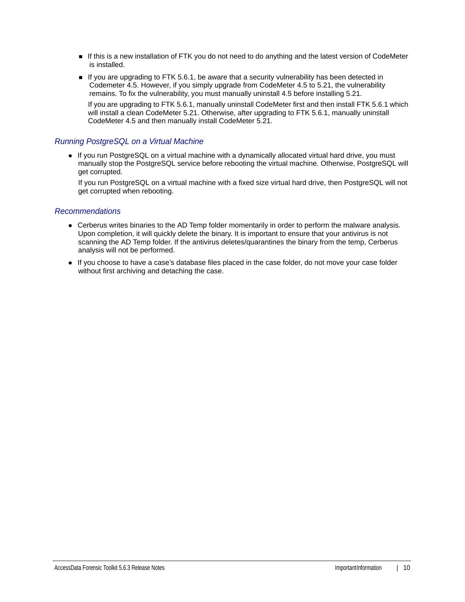- If this is a new installation of FTK you do not need to do anything and the latest version of CodeMeter is installed.
- If you are upgrading to FTK 5.6.1, be aware that a security vulnerability has been detected in Codemeter 4.5. However, if you simply upgrade from CodeMeter 4.5 to 5.21, the vulnerability remains. To fix the vulnerability, you must manually uninstall 4.5 before installing 5.21. If you are upgrading to FTK 5.6.1, manually uninstall CodeMeter first and then install FTK 5.6.1 which will install a clean CodeMeter 5.21. Otherwise, after upgrading to FTK 5.6.1, manually uninstall CodeMeter 4.5 and then manually install CodeMeter 5.21.

## *Running PostgreSQL on a Virtual Machine*

• If you run PostgreSQL on a virtual machine with a dynamically allocated virtual hard drive, you must manually stop the PostgreSQL service before rebooting the virtual machine. Otherwise, PostgreSQL will get corrupted.

If you run PostgreSQL on a virtual machine with a fixed size virtual hard drive, then PostgreSQL will not get corrupted when rebooting.

### *Recommendations*

- Cerberus writes binaries to the AD Temp folder momentarily in order to perform the malware analysis. Upon completion, it will quickly delete the binary. It is important to ensure that your antivirus is not scanning the AD Temp folder. If the antivirus deletes/quarantines the binary from the temp, Cerberus analysis will not be performed.
- If you choose to have a case's database files placed in the case folder, do not move your case folder without first archiving and detaching the case.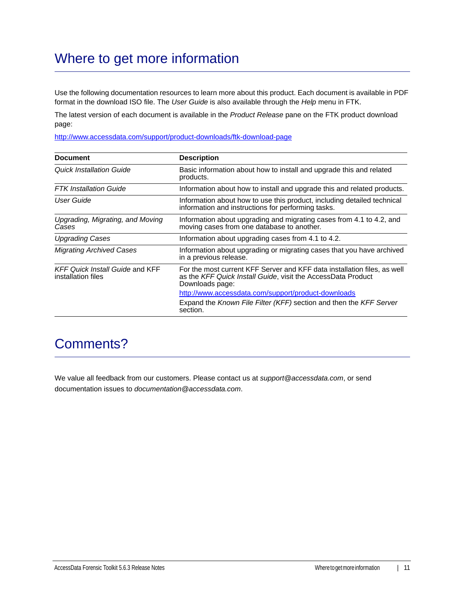# Where to get more information

Use the following documentation resources to learn more about this product. Each document is available in PDF format in the download ISO file. The *User Guide* is also available through the *Help* menu in FTK.

The latest version of each document is available in the *Product Release* pane on the FTK product download page:

http://www.accessdata.com/support/product-downloads/ftk-download-page

| <b>Document</b>                                              | <b>Description</b>                                                                                                                                          |
|--------------------------------------------------------------|-------------------------------------------------------------------------------------------------------------------------------------------------------------|
| Quick Installation Guide                                     | Basic information about how to install and upgrade this and related<br>products.                                                                            |
| <b>FTK</b> Installation Guide                                | Information about how to install and upgrade this and related products.                                                                                     |
| User Guide                                                   | Information about how to use this product, including detailed technical<br>information and instructions for performing tasks.                               |
| Upgrading, Migrating, and Moving<br>Cases                    | Information about upgrading and migrating cases from 4.1 to 4.2, and<br>moving cases from one database to another.                                          |
| <b>Upgrading Cases</b>                                       | Information about upgrading cases from 4.1 to 4.2.                                                                                                          |
| <b>Migrating Archived Cases</b>                              | Information about upgrading or migrating cases that you have archived<br>in a previous release.                                                             |
| <b>KFF Quick Install Guide and KFF</b><br>installation files | For the most current KFF Server and KFF data installation files, as well<br>as the KFF Quick Install Guide, visit the AccessData Product<br>Downloads page: |
|                                                              | http://www.accessdata.com/support/product-downloads                                                                                                         |
|                                                              | Expand the Known File Filter (KFF) section and then the KFF Server<br>section.                                                                              |

## Comments?

We value all feedback from our customers. Please contact us at *support@accessdata.com*, or send documentation issues to *documentation@accessdata.com*.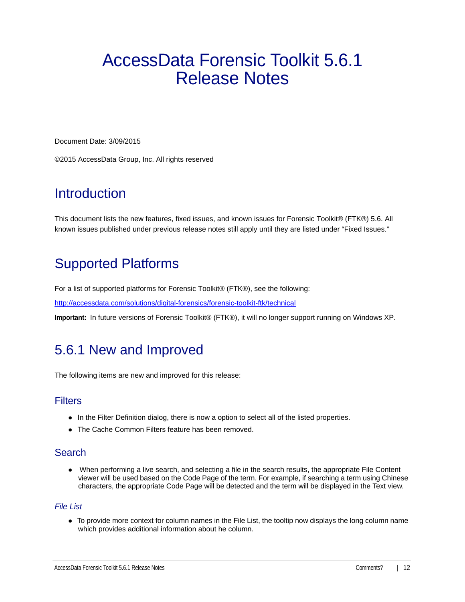# <span id="page-11-0"></span>AccessData Forensic Toolkit 5.6.1 Release Notes

Document Date: 3/09/2015

©2015 AccessData Group, Inc. All rights reserved

# **Introduction**

This document lists the new features, fixed issues, and known issues for Forensic Toolkit® (FTK®) 5.6. All known issues published under previous release notes still apply until they are listed under "Fixed Issues."

# Supported Platforms

For a list of supported platforms for Forensic Toolkit® (FTK®), see the following:

<http://accessdata.com/solutions/digital-forensics/forensic-toolkit-ftk/technical>

**Important:** In future versions of Forensic Toolkit® (FTK®), it will no longer support running on Windows XP.

## 5.6.1 New and Improved

The following items are new and improved for this release:

## **Filters**

- In the Filter Definition dialog, there is now a option to select all of the listed properties.
- The Cache Common Filters feature has been removed.

## Search

 When performing a live search, and selecting a file in the search results, the appropriate File Content viewer will be used based on the Code Page of the term. For example, if searching a term using Chinese characters, the appropriate Code Page will be detected and the term will be displayed in the Text view.

## *File List*

To provide more context for column names in the File List, the tooltip now displays the long column name which provides additional information about he column.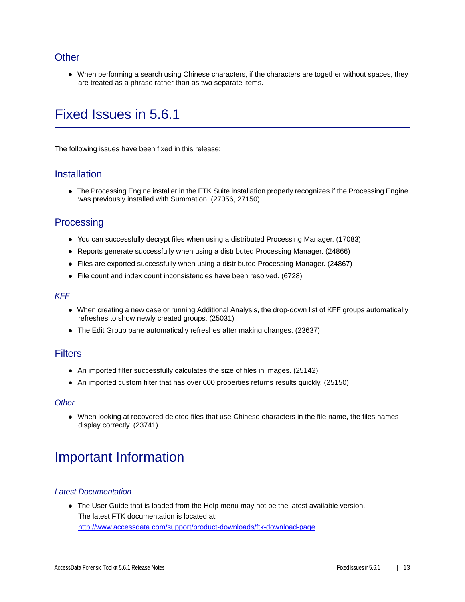## **Other**

When performing a search using Chinese characters, if the characters are together without spaces, they are treated as a phrase rather than as two separate items.

# Fixed Issues in 5.6.1

The following issues have been fixed in this release:

## **Installation**

The Processing Engine installer in the FTK Suite installation properly recognizes if the Processing Engine was previously installed with Summation. (27056, 27150)

## **Processing**

- You can successfully decrypt files when using a distributed Processing Manager. (17083)
- Reports generate successfully when using a distributed Processing Manager. (24866)
- Files are exported successfully when using a distributed Processing Manager. (24867)
- File count and index count inconsistencies have been resolved. (6728)

### *KFF*

- When creating a new case or running Additional Analysis, the drop-down list of KFF groups automatically refreshes to show newly created groups. (25031)
- The Edit Group pane automatically refreshes after making changes. (23637)

## **Filters**

- An imported filter successfully calculates the size of files in images. (25142)
- An imported custom filter that has over 600 properties returns results quickly. (25150)

### *Other*

When looking at recovered deleted files that use Chinese characters in the file name, the files names display correctly. (23741)

# Important Information

## *Latest Documentation*

• The User Guide that is loaded from the Help menu may not be the latest available version. The latest FTK documentation is located at: http://www.accessdata.com/support/product-downloads/ftk-download-page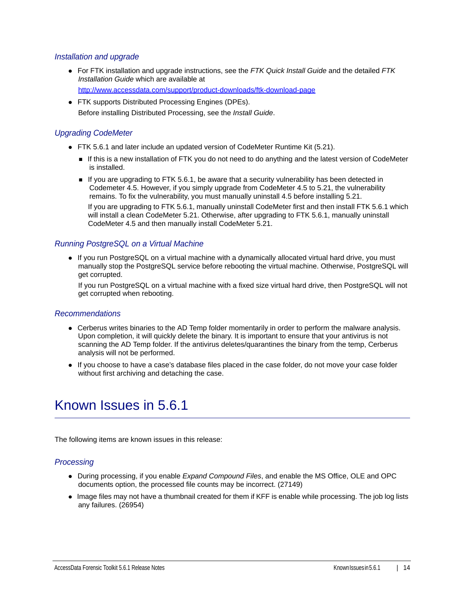## *Installation and upgrade*

- For FTK installation and upgrade instructions, see the *FTK Quick Install Guide* and the detailed *FTK Installation Guide* which are available at http://www.accessdata.com/support/product-downloads/ftk-download-page
- FTK supports Distributed Processing Engines (DPEs). Before installing Distributed Processing, see the *Install Guide*.

## *Upgrading CodeMeter*

- FTK 5.6.1 and later include an updated version of CodeMeter Runtime Kit (5.21).
	- If this is a new installation of FTK you do not need to do anything and the latest version of CodeMeter is installed.
	- If you are upgrading to FTK 5.6.1, be aware that a security vulnerability has been detected in Codemeter 4.5. However, if you simply upgrade from CodeMeter 4.5 to 5.21, the vulnerability remains. To fix the vulnerability, you must manually uninstall 4.5 before installing 5.21.

If you are upgrading to FTK 5.6.1, manually uninstall CodeMeter first and then install FTK 5.6.1 which will install a clean CodeMeter 5.21. Otherwise, after upgrading to FTK 5.6.1, manually uninstall CodeMeter 4.5 and then manually install CodeMeter 5.21.

### *Running PostgreSQL on a Virtual Machine*

• If you run PostgreSQL on a virtual machine with a dynamically allocated virtual hard drive, you must manually stop the PostgreSQL service before rebooting the virtual machine. Otherwise, PostgreSQL will get corrupted.

If you run PostgreSQL on a virtual machine with a fixed size virtual hard drive, then PostgreSQL will not get corrupted when rebooting.

### *Recommendations*

- Cerberus writes binaries to the AD Temp folder momentarily in order to perform the malware analysis. Upon completion, it will quickly delete the binary. It is important to ensure that your antivirus is not scanning the AD Temp folder. If the antivirus deletes/quarantines the binary from the temp, Cerberus analysis will not be performed.
- If you choose to have a case's database files placed in the case folder, do not move your case folder without first archiving and detaching the case.

## Known Issues in 5.6.1

The following items are known issues in this release:

### *Processing*

- During processing, if you enable *Expand Compound Files*, and enable the MS Office, OLE and OPC documents option, the processed file counts may be incorrect. (27149)
- Image files may not have a thumbnail created for them if KFF is enable while processing. The job log lists any failures. (26954)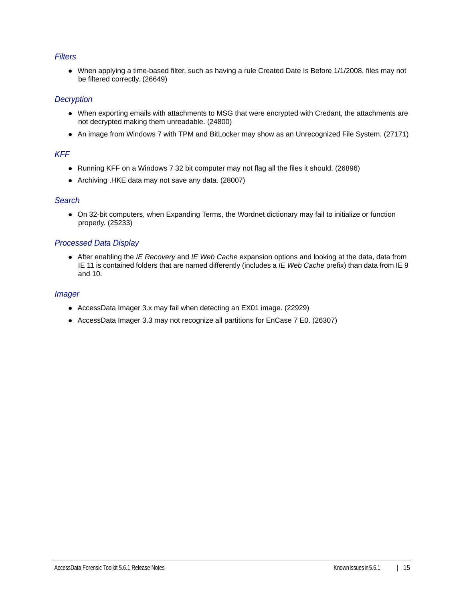## *Filters*

When applying a time-based filter, such as having a rule Created Date Is Before 1/1/2008, files may not be filtered correctly. (26649)

### *Decryption*

- When exporting emails with attachments to MSG that were encrypted with Credant, the attachments are not decrypted making them unreadable. (24800)
- An image from Windows 7 with TPM and BitLocker may show as an Unrecognized File System. (27171)

## *KFF*

- Running KFF on a Windows 7 32 bit computer may not flag all the files it should. (26896)
- Archiving .HKE data may not save any data. (28007)

## *Search*

On 32-bit computers, when Expanding Terms, the Wordnet dictionary may fail to initialize or function properly. (25233)

## *Processed Data Display*

After enabling the *IE Recovery* and *IE Web Cache* expansion options and looking at the data, data from IE 11 is contained folders that are named differently (includes a *IE Web Cache* prefix) than data from IE 9 and 10.

### *Imager*

- AccessData Imager 3.x may fail when detecting an EX01 image. (22929)
- AccessData Imager 3.3 may not recognize all partitions for EnCase 7 E0. (26307)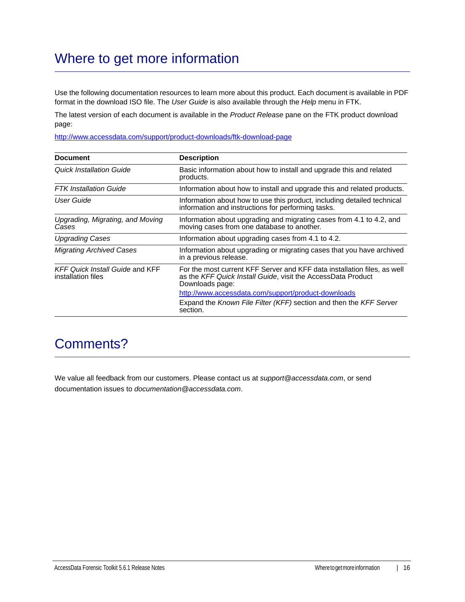# Where to get more information

Use the following documentation resources to learn more about this product. Each document is available in PDF format in the download ISO file. The *User Guide* is also available through the *Help* menu in FTK.

The latest version of each document is available in the *Product Release* pane on the FTK product download page:

http://www.accessdata.com/support/product-downloads/ftk-download-page

| <b>Document</b>                                              | <b>Description</b>                                                                                                                                          |
|--------------------------------------------------------------|-------------------------------------------------------------------------------------------------------------------------------------------------------------|
| Quick Installation Guide                                     | Basic information about how to install and upgrade this and related<br>products.                                                                            |
| <b>FTK</b> Installation Guide                                | Information about how to install and upgrade this and related products.                                                                                     |
| User Guide                                                   | Information about how to use this product, including detailed technical<br>information and instructions for performing tasks.                               |
| Upgrading, Migrating, and Moving<br>Cases                    | Information about upgrading and migrating cases from 4.1 to 4.2, and<br>moving cases from one database to another.                                          |
| <b>Upgrading Cases</b>                                       | Information about upgrading cases from 4.1 to 4.2.                                                                                                          |
| <b>Migrating Archived Cases</b>                              | Information about upgrading or migrating cases that you have archived<br>in a previous release.                                                             |
| <b>KFF Quick Install Guide and KFF</b><br>installation files | For the most current KFF Server and KFF data installation files, as well<br>as the KFF Quick Install Guide, visit the AccessData Product<br>Downloads page: |
|                                                              | http://www.accessdata.com/support/product-downloads                                                                                                         |
|                                                              | Expand the Known File Filter (KFF) section and then the KFF Server<br>section.                                                                              |

## Comments?

We value all feedback from our customers. Please contact us at *support@accessdata.com*, or send documentation issues to *documentation@accessdata.com*.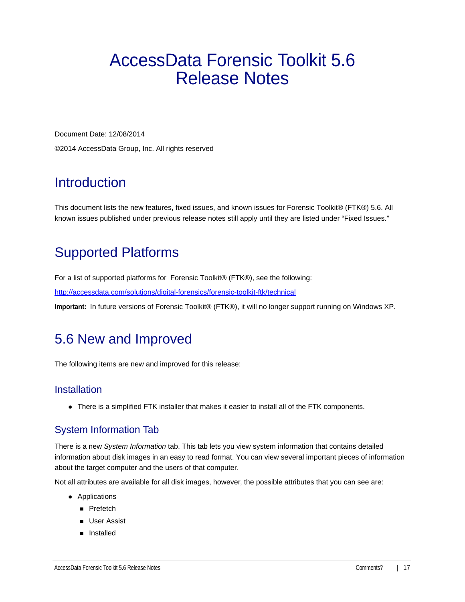# <span id="page-16-0"></span>AccessData Forensic Toolkit 5.6 Release Notes

Document Date: 12/08/2014 ©2014 AccessData Group, Inc. All rights reserved

# Introduction

This document lists the new features, fixed issues, and known issues for Forensic Toolkit® (FTK®) 5.6. All known issues published under previous release notes still apply until they are listed under "Fixed Issues."

# Supported Platforms

For a list of supported platforms for Forensic Toolkit® (FTK®), see the following:

<http://accessdata.com/solutions/digital-forensics/forensic-toolkit-ftk/technical>

**Important:** In future versions of Forensic Toolkit® (FTK®), it will no longer support running on Windows XP.

# 5.6 New and Improved

The following items are new and improved for this release:

## **Installation**

There is a simplified FTK installer that makes it easier to install all of the FTK components.

## System Information Tab

There is a new *System Information* tab. This tab lets you view system information that contains detailed information about disk images in an easy to read format. You can view several important pieces of information about the target computer and the users of that computer.

Not all attributes are available for all disk images, however, the possible attributes that you can see are:

- Applications
	- **Prefetch**
	- **User Assist**
	- **n** Installed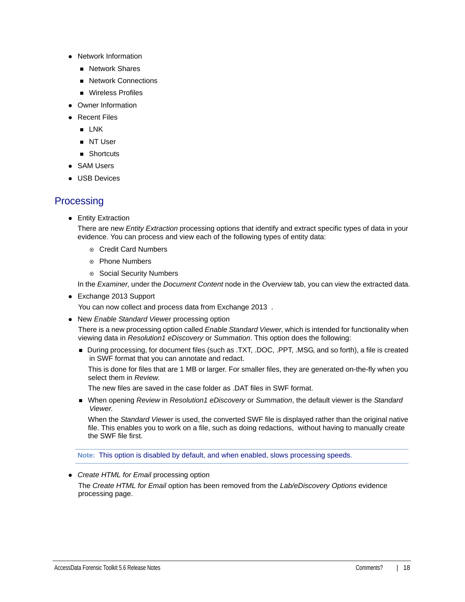- Network Information
	- **Network Shares**
	- **Network Connections**
	- **Nireless Profiles**
- Owner Information
- Recent Files
	- $\blacksquare$  LNK
	- **NT User**
	- Shortcuts
- SAM Users
- USB Devices

## **Processing**

• Entity Extraction

There are new *Entity Extraction* processing options that identify and extract specific types of data in your evidence. You can process and view each of the following types of entity data:

- Credit Card Numbers
- Phone Numbers
- ◎ Social Security Numbers

In the *Examiner*, under the *Document Content* node in the *Overview* tab, you can view the extracted data.

Exchange 2013 Support

You can now collect and process data from Exchange 2013 .

New *Enable Standard Viewer* processing option

There is a new processing option called *Enable Standard Viewer*, which is intended for functionality when viewing data in *Resolution1 eDiscovery* or *Summation*. This option does the following:

During processing, for document files (such as .TXT, .DOC, .PPT, .MSG, and so forth), a file is created in SWF format that you can annotate and redact.

This is done for files that are 1 MB or larger. For smaller files, they are generated on-the-fly when you select them in *Review*.

The new files are saved in the case folder as .DAT files in SWF format.

When opening *Review* in *Resolution1 eDiscovery* or *Summation*, the default viewer is the *Standard Viewer*.

When the *Standard Viewer* is used, the converted SWF file is displayed rather than the original native file. This enables you to work on a file, such as doing redactions, without having to manually create the SWF file first.

**Note:** This option is disabled by default, and when enabled, slows processing speeds.

*Create HTML for Email* processing option

The *Create HTML for Email* option has been removed from the *Lab/eDiscovery Options* evidence processing page.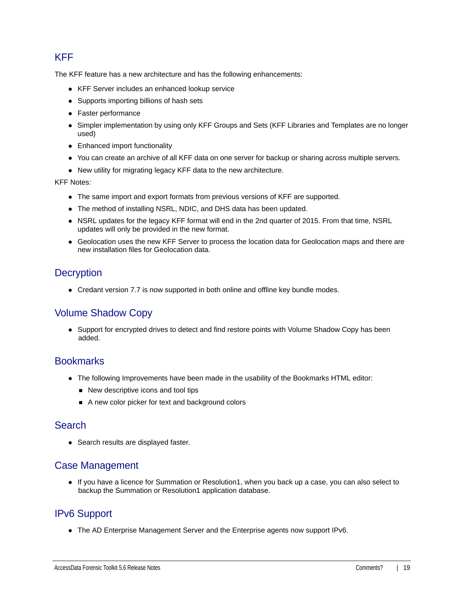## KFF

The KFF feature has a new architecture and has the following enhancements:

- KFF Server includes an enhanced lookup service
- Supports importing billions of hash sets
- Faster performance
- Simpler implementation by using only KFF Groups and Sets (KFF Libraries and Templates are no longer used)
- Enhanced import functionality
- You can create an archive of all KFF data on one server for backup or sharing across multiple servers.
- New utility for migrating legacy KFF data to the new architecture.

KFF Notes:

- The same import and export formats from previous versions of KFF are supported.
- The method of installing NSRL, NDIC, and DHS data has been updated.
- NSRL updates for the legacy KFF format will end in the 2nd quarter of 2015. From that time, NSRL updates will only be provided in the new format.
- Geolocation uses the new KFF Server to process the location data for Geolocation maps and there are new installation files for Geolocation data.

## **Decryption**

Credant version 7.7 is now supported in both online and offline key bundle modes.

## Volume Shadow Copy

• Support for encrypted drives to detect and find restore points with Volume Shadow Copy has been added.

## **Bookmarks**

- The following Improvements have been made in the usability of the Bookmarks HTML editor:
	- New descriptive icons and tool tips
	- A new color picker for text and background colors

## Search

• Search results are displayed faster.

## Case Management

If you have a licence for Summation or Resolution1, when you back up a case, you can also select to backup the Summation or Resolution1 application database.

## IPv6 Support

The AD Enterprise Management Server and the Enterprise agents now support IPv6.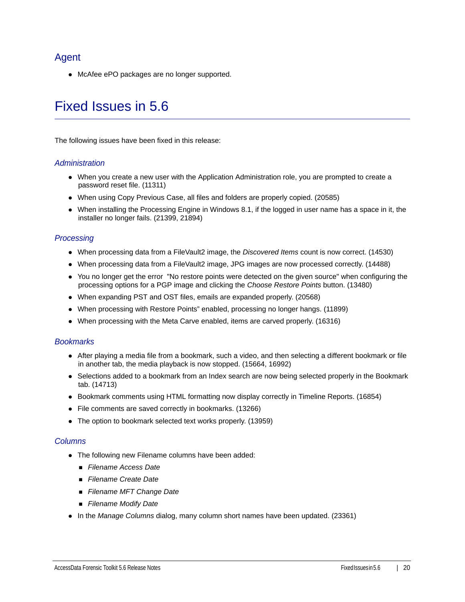## Agent

McAfee ePO packages are no longer supported.

# Fixed Issues in 5.6

The following issues have been fixed in this release:

### *Administration*

- When you create a new user with the Application Administration role, you are prompted to create a password reset file. (11311)
- When using Copy Previous Case, all files and folders are properly copied. (20585)
- When installing the Processing Engine in Windows 8.1, if the logged in user name has a space in it, the installer no longer fails. (21399, 21894)

## *Processing*

- When processing data from a FileVault2 image, the *Discovered Items* count is now correct. (14530)
- When processing data from a FileVault2 image, JPG images are now processed correctly. (14488)
- You no longer get the error "No restore points were detected on the given source" when configuring the processing options for a PGP image and clicking the *Choose Restore Points* button. (13480)
- When expanding PST and OST files, emails are expanded properly. (20568)
- When processing with Restore Points" enabled, processing no longer hangs. (11899)
- When processing with the Meta Carve enabled, items are carved properly. (16316)

## *Bookmarks*

- After playing a media file from a bookmark, such a video, and then selecting a different bookmark or file in another tab, the media playback is now stopped. (15664, 16992)
- Selections added to a bookmark from an Index search are now being selected properly in the Bookmark tab. (14713)
- Bookmark comments using HTML formatting now display correctly in Timeline Reports. (16854)
- File comments are saved correctly in bookmarks. (13266)
- The option to bookmark selected text works properly. (13959)

## *Columns*

- The following new Filename columns have been added:
	- *Filename Access Date*
	- *Filename Create Date*
	- *Filename MFT Change Date*
	- *Filename Modify Date*
- In the *Manage Columns* dialog, many column short names have been updated. (23361)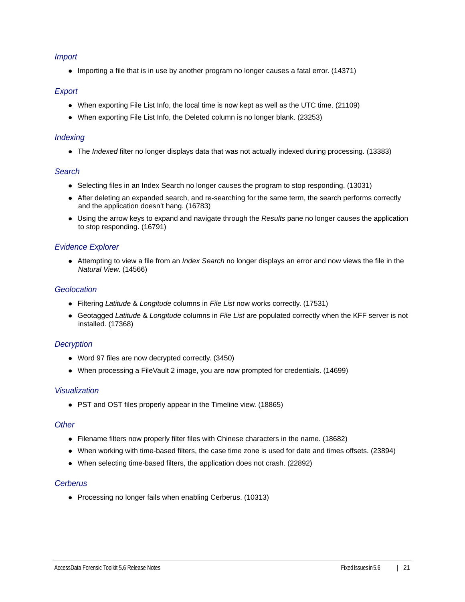## *Import*

• Importing a file that is in use by another program no longer causes a fatal error. (14371)

### *Export*

- When exporting File List Info, the local time is now kept as well as the UTC time. (21109)
- When exporting File List Info, the Deleted column is no longer blank. (23253)

### *Indexing*

The *Indexed* filter no longer displays data that was not actually indexed during processing. (13383)

### *Search*

- Selecting files in an Index Search no longer causes the program to stop responding. (13031)
- After deleting an expanded search, and re-searching for the same term, the search performs correctly and the application doesn't hang. (16783)
- Using the arrow keys to expand and navigate through the *Results* pane no longer causes the application to stop responding. (16791)

## *Evidence Explorer*

Attempting to view a file from an *Index Search* no longer displays an error and now views the file in the *Natural View*. (14566)

### *Geolocation*

- Filtering *Latitude* & *Longitude* columns in *File List* now works correctly. (17531)
- Geotagged *Latitude* & *Longitude* columns in *File List* are populated correctly when the KFF server is not installed. (17368)

## *Decryption*

- Word 97 files are now decrypted correctly. (3450)
- When processing a FileVault 2 image, you are now prompted for credentials. (14699)

### *Visualization*

PST and OST files properly appear in the Timeline view. (18865)

### *Other*

- Filename filters now properly filter files with Chinese characters in the name. (18682)
- When working with time-based filters, the case time zone is used for date and times offsets. (23894)
- When selecting time-based filters, the application does not crash. (22892)

### *Cerberus*

• Processing no longer fails when enabling Cerberus. (10313)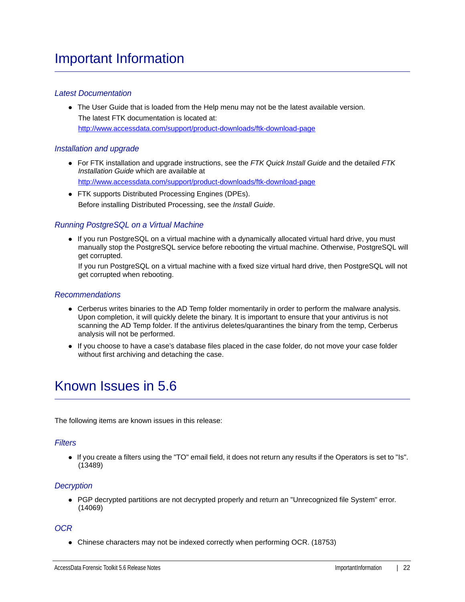## *Latest Documentation*

The User Guide that is loaded from the Help menu may not be the latest available version. The latest FTK documentation is located at: http://www.accessdata.com/support/product-downloads/ftk-download-page

### *Installation and upgrade*

- For FTK installation and upgrade instructions, see the *FTK Quick Install Guide* and the detailed *FTK Installation Guide* which are available at http://www.accessdata.com/support/product-downloads/ftk-download-page
- FTK supports Distributed Processing Engines (DPEs). Before installing Distributed Processing, see the *Install Guide*.

## *Running PostgreSQL on a Virtual Machine*

• If you run PostgreSQL on a virtual machine with a dynamically allocated virtual hard drive, you must manually stop the PostgreSQL service before rebooting the virtual machine. Otherwise, PostgreSQL will get corrupted.

If you run PostgreSQL on a virtual machine with a fixed size virtual hard drive, then PostgreSQL will not get corrupted when rebooting.

### *Recommendations*

- Cerberus writes binaries to the AD Temp folder momentarily in order to perform the malware analysis. Upon completion, it will quickly delete the binary. It is important to ensure that your antivirus is not scanning the AD Temp folder. If the antivirus deletes/quarantines the binary from the temp, Cerberus analysis will not be performed.
- If you choose to have a case's database files placed in the case folder, do not move your case folder without first archiving and detaching the case.

# Known Issues in 5.6

The following items are known issues in this release:

### *Filters*

If you create a filters using the "TO" email field, it does not return any results if the Operators is set to "Is". (13489)

## *Decryption*

• PGP decrypted partitions are not decrypted properly and return an "Unrecognized file System" error. (14069)

### *OCR*

• Chinese characters may not be indexed correctly when performing OCR. (18753)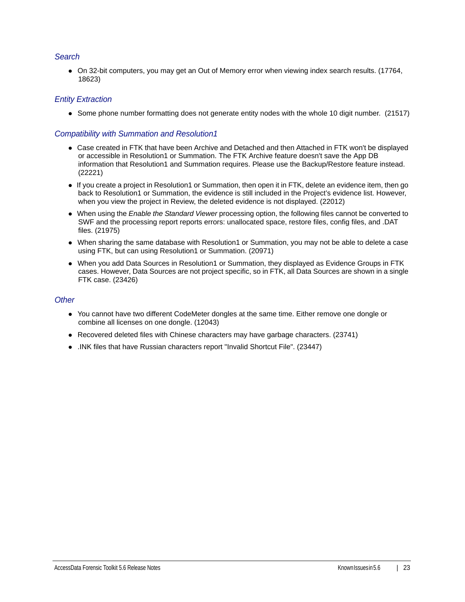## *Search*

On 32-bit computers, you may get an Out of Memory error when viewing index search results. (17764, 18623)

## *Entity Extraction*

• Some phone number formatting does not generate entity nodes with the whole 10 digit number. (21517)

## *Compatibility with Summation and Resolution1*

- Case created in FTK that have been Archive and Detached and then Attached in FTK won't be displayed or accessible in Resolution1 or Summation. The FTK Archive feature doesn't save the App DB information that Resolution1 and Summation requires. Please use the Backup/Restore feature instead. (22221)
- If you create a project in Resolution1 or Summation, then open it in FTK, delete an evidence item, then go back to Resolution1 or Summation, the evidence is still included in the Project's evidence list. However, when you view the project in Review, the deleted evidence is not displayed. (22012)
- When using the *Enable the Standard Viewer* processing option, the following files cannot be converted to SWF and the processing report reports errors: unallocated space, restore files, config files, and .DAT files. (21975)
- When sharing the same database with Resolution1 or Summation, you may not be able to delete a case using FTK, but can using Resolution1 or Summation. (20971)
- When you add Data Sources in Resolution1 or Summation, they displayed as Evidence Groups in FTK cases. However, Data Sources are not project specific, so in FTK, all Data Sources are shown in a single FTK case. (23426)

### *Other*

- You cannot have two different CodeMeter dongles at the same time. Either remove one dongle or combine all licenses on one dongle. (12043)
- Recovered deleted files with Chinese characters may have garbage characters. (23741)
- .INK files that have Russian characters report "Invalid Shortcut File". (23447)